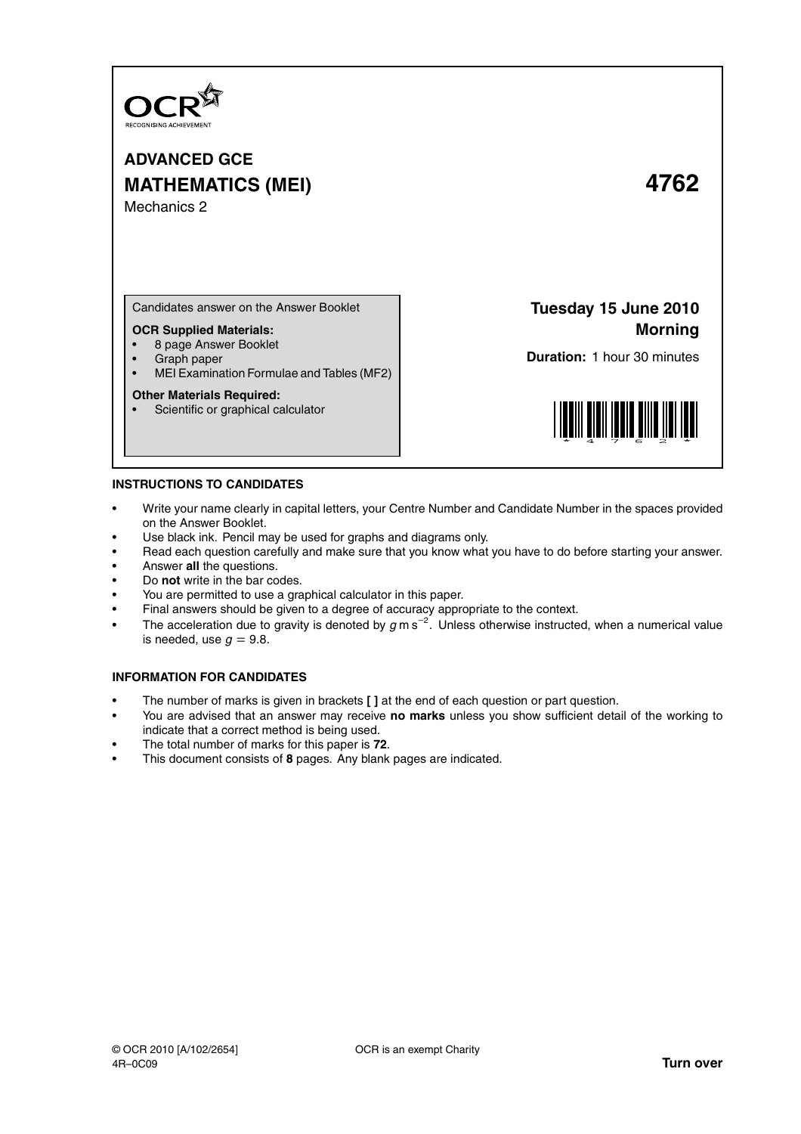

**ADVANCED GCE MATHEMATICS (MEI) 4762** Mechanics 2

Candidates answer on the Answer Booklet

## **OCR Supplied Materials:**

- 8 page Answer Booklet
- Graph paper<br>• MELExamina
- MEI Examination Formulae and Tables (MF2)

### **Other Materials Required:**

• Scientific or graphical calculator

**Tuesday 15 June 2010 Morning**

**Duration:** 1 hour 30 minutes



## **INSTRUCTIONS TO CANDIDATES**

- Write your name clearly in capital letters, your Centre Number and Candidate Number in the spaces provided on the Answer Booklet.
- Use black ink. Pencil may be used for graphs and diagrams only.
- Read each question carefully and make sure that you know what you have to do before starting your answer.
- Answer **all** the questions.
- Do **not** write in the bar codes.
- You are permitted to use a graphical calculator in this paper.
- Final answers should be given to a degree of accuracy appropriate to the context.
- The acceleration due to gravity is denoted by  $g$  m s<sup>-2</sup>. Unless otherwise instructed, when a numerical value is needed, use  $g = 9.8$ .

# **INFORMATION FOR CANDIDATES**

- The number of marks is given in brackets **[ ]** at the end of each question or part question.
- You are advised that an answer may receive **no marks** unless you show sufficient detail of the working to indicate that a correct method is being used.
- The total number of marks for this paper is **72**.
- This document consists of **8** pages. Any blank pages are indicated.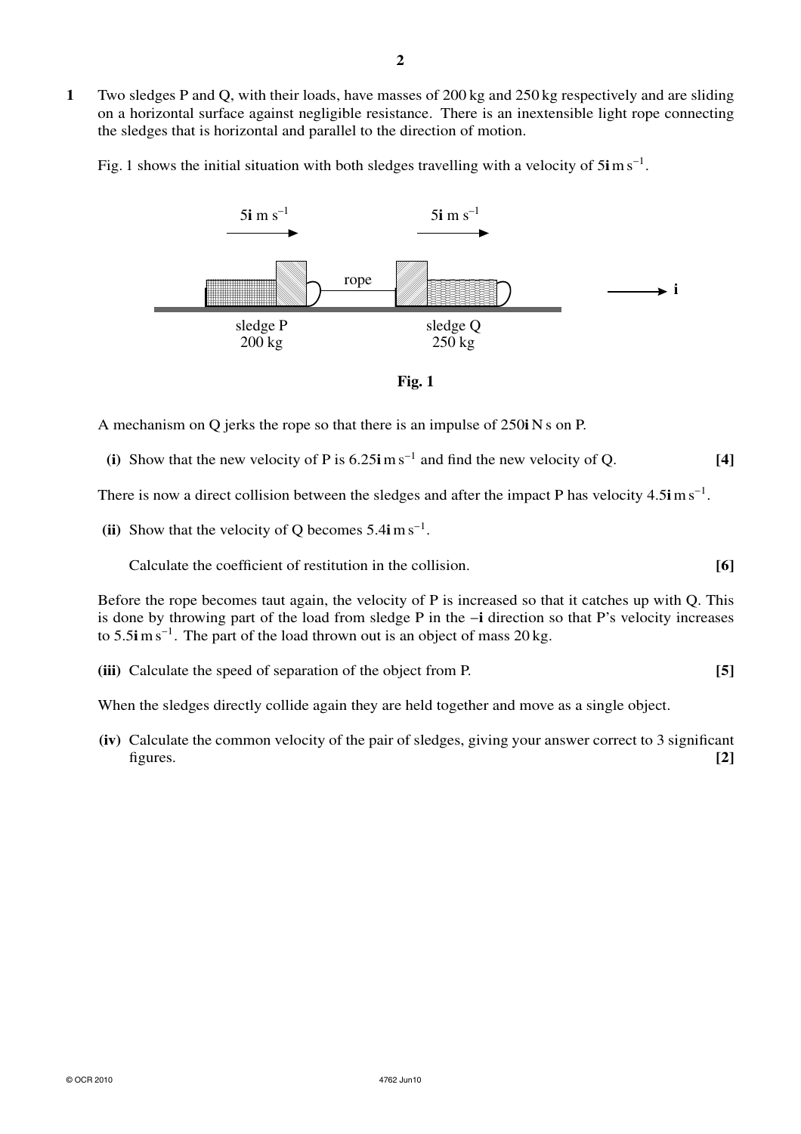**1** Two sledges P and Q, with their loads, have masses of 200 kg and 250 kg respectively and are sliding on a horizontal surface against negligible resistance. There is an inextensible light rope connecting the sledges that is horizontal and parallel to the direction of motion.

Fig. 1 shows the initial situation with both sledges travelling with a velocity of  $5\text{i} \text{ m s}^{-1}$ .



**Fig. 1**

A mechanism on Q jerks the rope so that there is an impulse of 250**i** N s on P.

**(i)** Show that the new velocity of P is 6.25**i**m s<sup>−</sup><sup>1</sup> and find the new velocity of Q. **[4]**

There is now a direct collision between the sledges and after the impact P has velocity 4.5**i**m s<sup>−1</sup>.

(ii) Show that the velocity of Q becomes  $5.4$ **i**m s<sup>−1</sup>.

Calculate the coefficient of restitution in the collision. **[6]**

Before the rope becomes taut again, the velocity of P is increased so that it catches up with Q. This is done by throwing part of the load from sledge P in the −**i** direction so that P's velocity increases to 5.5**i**m s<sup>−</sup><sup>1</sup> . The part of the load thrown out is an object of mass 20 kg.

**(iii)** Calculate the speed of separation of the object from P. **[5]**

When the sledges directly collide again they are held together and move as a single object.

**(iv)** Calculate the common velocity of the pair of sledges, giving your answer correct to 3 significant figures. **[2]**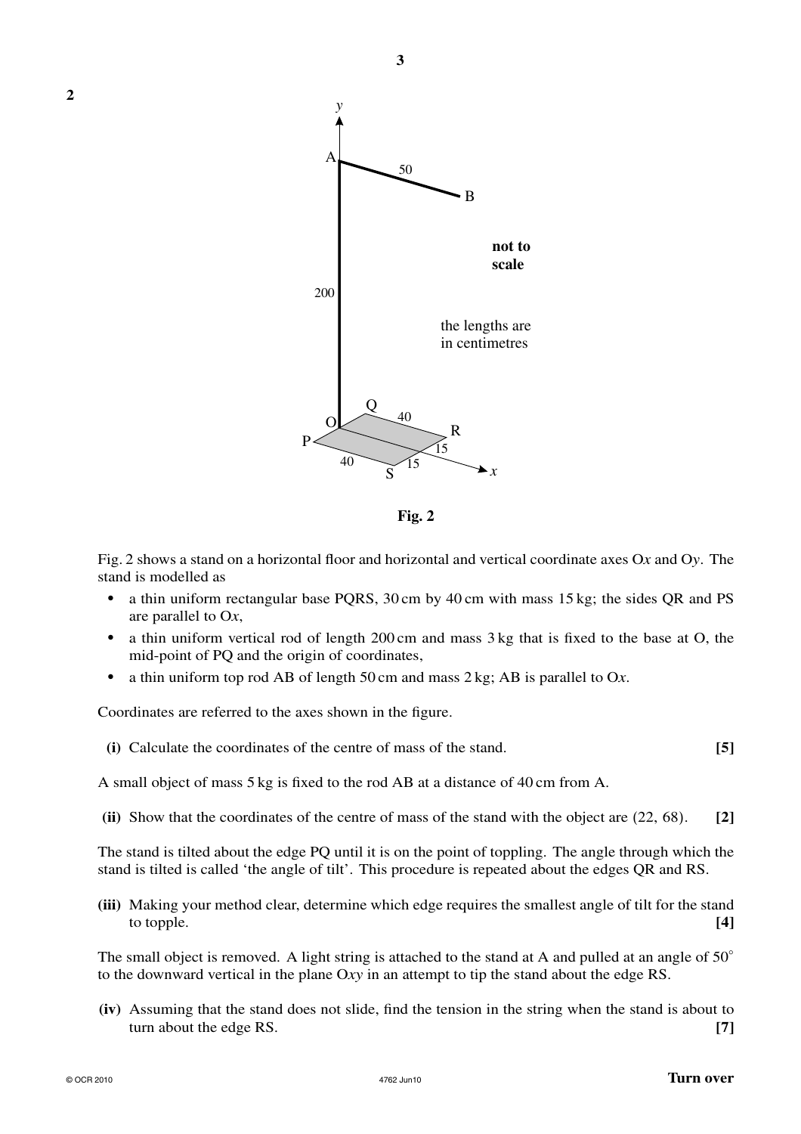

**3**

**Fig. 2**

Fig. 2 shows a stand on a horizontal floor and horizontal and vertical coordinate axes O*x* and O*y*. The stand is modelled as

- **•** a thin uniform rectangular base PQRS, 30 cm by 40 cm with mass 15 kg; the sides QR and PS are parallel to O*x*,
- **•** a thin uniform vertical rod of length 200 cm and mass 3 kg that is fixed to the base at O, the mid-point of PQ and the origin of coordinates,
- **•** a thin uniform top rod AB of length 50 cm and mass 2 kg; AB is parallel to O*x*.

Coordinates are referred to the axes shown in the figure.

**(i)** Calculate the coordinates of the centre of mass of the stand. **[5]**

A small object of mass 5 kg is fixed to the rod AB at a distance of 40 cm from A.

**(ii)** Show that the coordinates of the centre of mass of the stand with the object are (22, 68). **[2]**

The stand is tilted about the edge PQ until it is on the point of toppling. The angle through which the stand is tilted is called 'the angle of tilt'. This procedure is repeated about the edges QR and RS.

**(iii)** Making your method clear, determine which edge requires the smallest angle of tilt for the stand to topple. **[4]**

The small object is removed. A light string is attached to the stand at A and pulled at an angle of 50<sup>°</sup> to the downward vertical in the plane O*xy* in an attempt to tip the stand about the edge RS.

**(iv)** Assuming that the stand does not slide, find the tension in the string when the stand is about to turn about the edge RS. **[7]**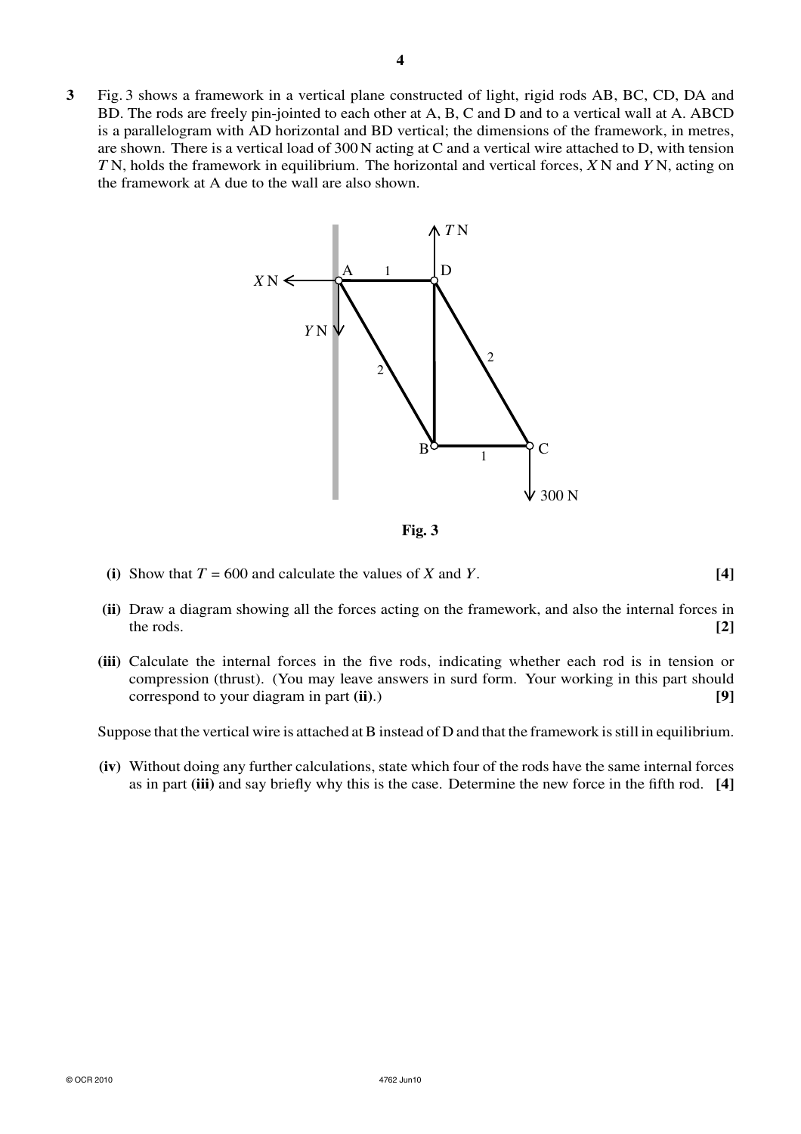**3** Fig. 3 shows a framework in a vertical plane constructed of light, rigid rods AB, BC, CD, DA and BD. The rods are freely pin-jointed to each other at A, B, C and D and to a vertical wall at A. ABCD is a parallelogram with AD horizontal and BD vertical; the dimensions of the framework, in metres, are shown. There is a vertical load of 300 N acting at C and a vertical wire attached to D, with tension *T* N, holds the framework in equilibrium. The horizontal and vertical forces, *X* N and *Y* N, acting on the framework at A due to the wall are also shown.



**Fig. 3**

- **(i)** Show that  $T = 600$  and calculate the values of *X* and *Y*.  $\begin{bmatrix} 4 \end{bmatrix}$
- **(ii)** Draw a diagram showing all the forces acting on the framework, and also the internal forces in the rods.  $[2]$
- **(iii)** Calculate the internal forces in the five rods, indicating whether each rod is in tension or compression (thrust). (You may leave answers in surd form. Your working in this part should correspond to your diagram in part **(ii)**.) **[9]**

Suppose that the vertical wire is attached at B instead of D and that the framework is still in equilibrium.

**(iv)** Without doing any further calculations, state which four of the rods have the same internal forces as in part **(iii)** and say briefly why this is the case. Determine the new force in the fifth rod. **[4]**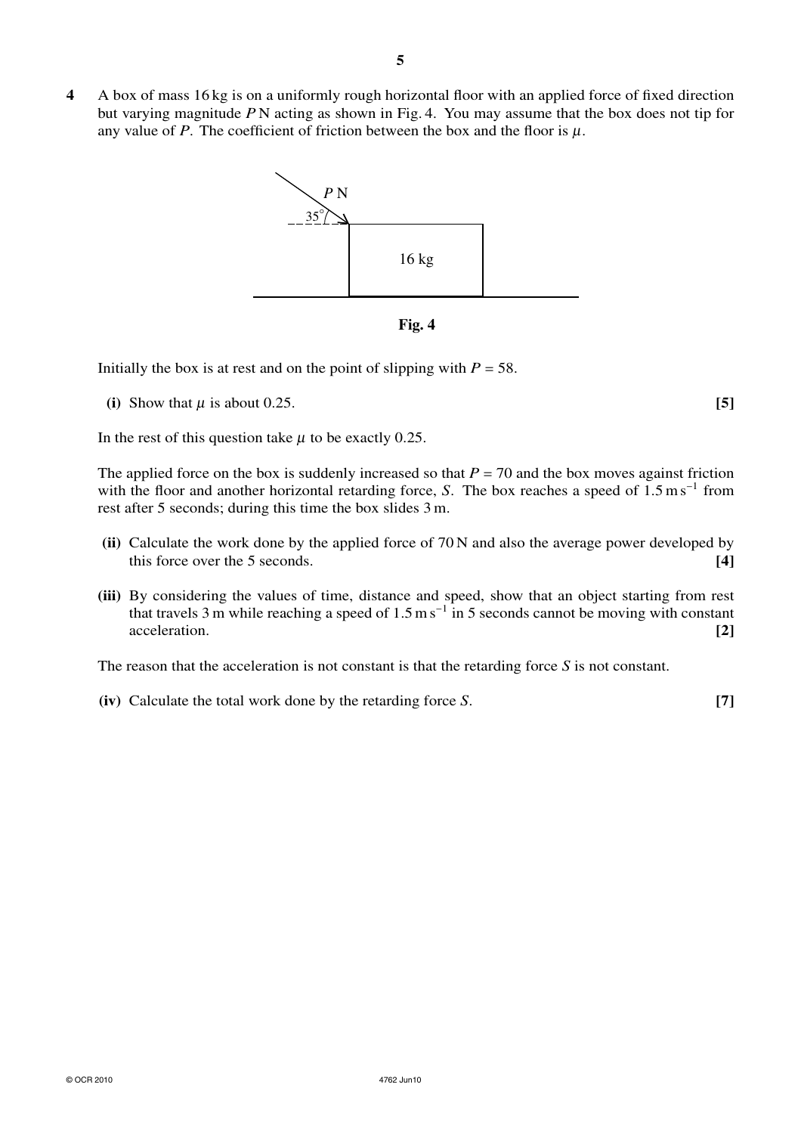**4** A box of mass 16 kg is on a uniformly rough horizontal floor with an applied force of fixed direction but varying magnitude *P* N acting as shown in Fig. 4. You may assume that the box does not tip for any value of  $P$ . The coefficient of friction between the box and the floor is  $\mu$ .



**Fig. 4**

Initially the box is at rest and on the point of slipping with  $P = 58$ .

**(i)** Show that  $\mu$  is about 0.25. **[5]** 

In the rest of this question take  $\mu$  to be exactly 0.25.

The applied force on the box is suddenly increased so that  $P = 70$  and the box moves against friction with the floor and another horizontal retarding force, *S*. The box reaches a speed of 1.5 m s<sup>-1</sup> from rest after 5 seconds; during this time the box slides 3 m.

- **(ii)** Calculate the work done by the applied force of 70 N and also the average power developed by this force over the 5 seconds. **[4]**
- **(iii)** By considering the values of time, distance and speed, show that an object starting from rest that travels 3 m while reaching a speed of  $1.5 \text{ m s}^{-1}$  in 5 seconds cannot be moving with constant acceleration. **[2]**

The reason that the acceleration is not constant is that the retarding force *S* is not constant.

**(iv)** Calculate the total work done by the retarding force *S*. **[7]**

**5**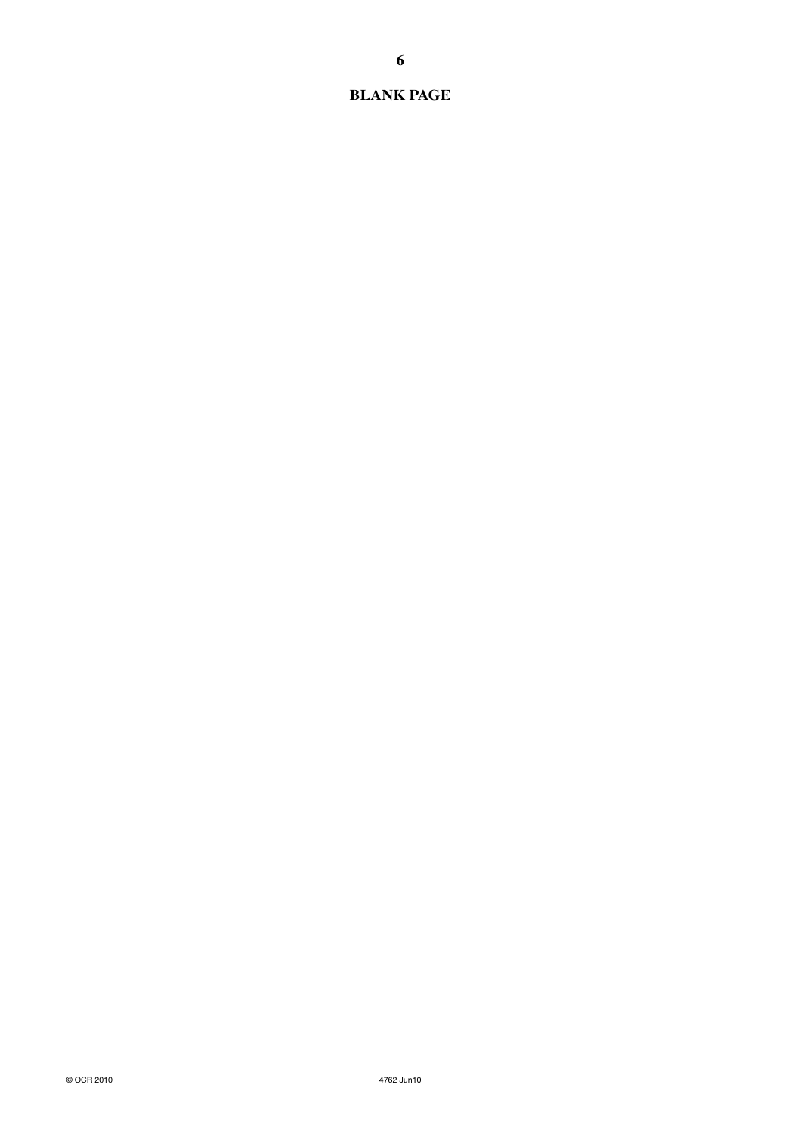# **BLANK PAGE**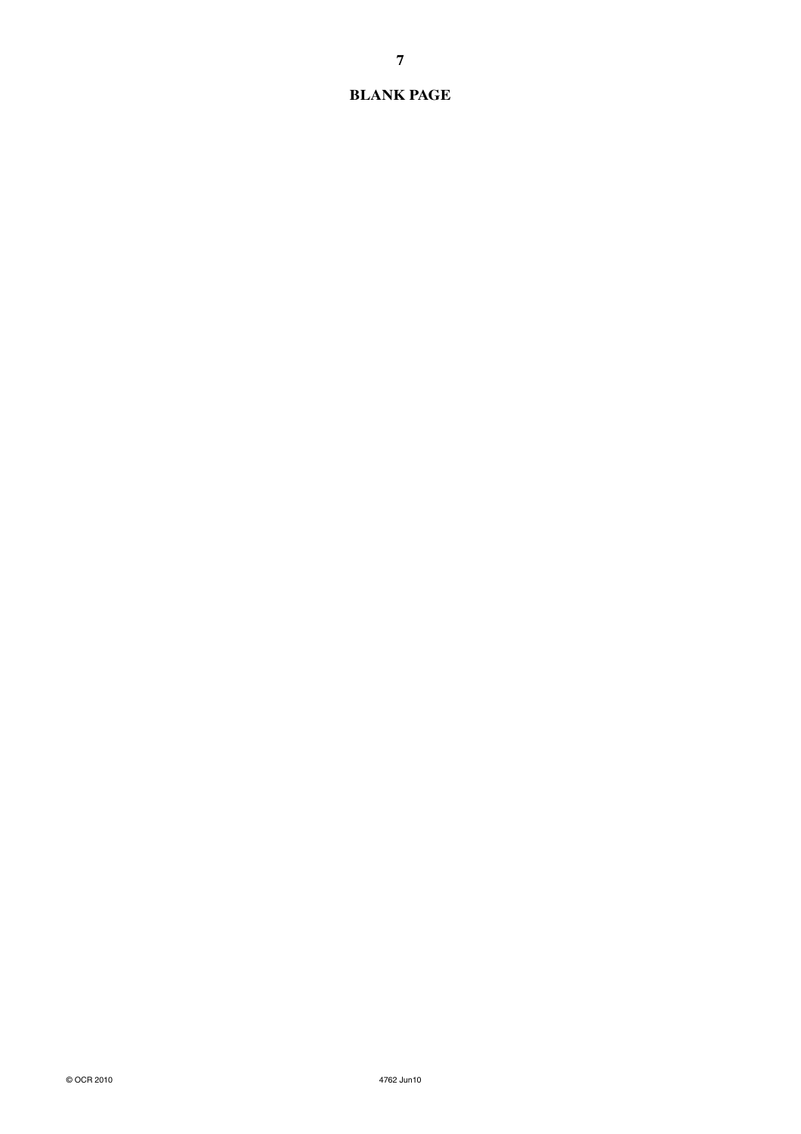# **BLANK PAGE**